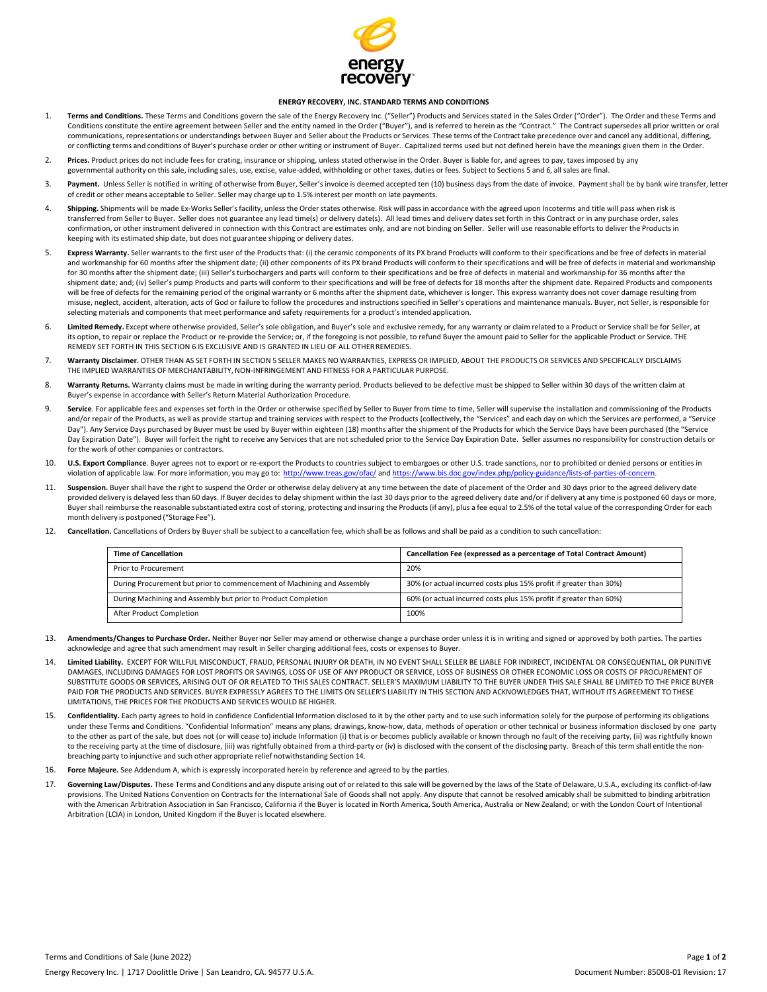

## **ENERGY RECOVERY, INC. STANDARD TERMS AND CONDITIONS**

- Terms and Conditions. These Terms and Conditions govern the sale of the Energy Recovery Inc. ("Seller") Products and Services stated in the Sales Order ("Order"). The Order and these Terms and Conditions constitute the entire agreement between Seller and the entity named in the Order ("Buyer"), and is referred to herein as the "Contract." The Contract supersedes all prior written or oral communications, representations or understandings between Buyer and Seller about the Products or Services. These terms ofthe Contracttake precedence over and cancel any additional, differing, or conflicting terms and conditions of Buyer's purchase order or other writing or instrument of Buyer. Capitalized terms used but not defined herein have the meanings given them in the Order.
- 2. **Prices.** Product prices do not include fees for crating, insurance or shipping, unless stated otherwise in the Order. Buyer is liable for, and agrees to pay, taxes imposed by any governmental authority on this sale, including sales, use, excise, value‐added, withholding or other taxes, duties or fees. Subject to Sections 5 and 6, all sales are final.
- 3. **Payment.** Unless Seller is notified in writing of otherwise from Buyer, Seller's invoice is deemed accepted ten (10) business days from the date of invoice. Paymentshall be by bank wire transfer, letter of credit or other means acceptable to Seller. Seller may charge up to 1.5% interest per month on late payments.
- 4. Shipping. Shipments will be made Ex-Works Seller's facility, unless the Order states otherwise. Risk will pass in accordance with the agreed upon Incoterms and title will pass when risk is transferred from Seller to Buyer. Seller does not guarantee any lead time(s) or delivery date(s). All lead times and delivery dates set forth in this Contract or in any purchase order, sales confirmation, or other instrument delivered in connection with this Contract are estimates only, and are not binding on Seller. Seller will use reasonable efforts to deliver the Products in keeping with its estimated ship date, but does not guarantee shipping or delivery dates.
- 5. **Express Warranty.** Seller warrants to the first user of the Products that: (i) the ceramic components of its PX brand Products will conform to their specifications and be free of defects in material and workmanship for 60 months after the shipment date; (ii) other components of its PX brand Products will conform to their specifications and will be free of defects in material and workmanship for 30 months after the shipment date; (iii) Seller's turbochargers and parts will conform to their specifications and be free of defects in material and workmanship for 36 months after the shipment date; and; (iv) Seller's pump Products and parts will conform to their specifications and will be free of defects for 18 months after the shipment date. Repaired Products and components will be free of defects for the remaining period of the original warranty or 6 months after the shipment date, whichever is longer. This express warranty does not cover damage resulting from misuse, neglect, accident, alteration, acts of God or failure to follow the procedures and instructions specified in Seller's operations and maintenance manuals. Buyer, not Seller, is responsible for selecting materials and components that meet performance and safety requirements for a product's intended application.
- 6. **Limited Remedy.** Except where otherwise provided, Seller'ssole obligation, and Buyer's sole and exclusive remedy, for any warranty or claim related to a Product or Service shall be for Seller, at its option, to repair or replace the Product or re-provide the Service; or, if the foregoing is not possible, to refund Buyer the amount paid to Seller for the applicable Product or Service. THE REMEDY SET FORTH IN THIS SECTION 6 IS EXCLUSIVE AND IS GRANTED IN LIEU OF ALL OTHERREMEDIES.
- 7. **Warranty Disclaimer.** OTHER THAN AS SET FORTH IN SECTION 5 SELLER MAKES NO WARRANTIES, EXPRESS OR IMPLIED, ABOUT THE PRODUCTS OR SERVICES AND SPECIFICALLY DISCLAIMS THE IMPLIED WARRANTIES OF MERCHANTABILITY, NON‐INFRINGEMENT AND FITNESS FOR A PARTICULAR PURPOSE.
- 8. Warranty Returns. Warranty claims must be made in writing during the warranty period. Products believed to be defective must be shipped to Seller within 30 days of the written claim at Buyer's expense in accordance with Seller's Return Material Authorization Procedure.
- 9. **Service**. For applicable fees and expenses set forth in the Order or otherwise specified by Seller to Buyer from time to time, Seller will supervise the installation and commissioning of the Products and/or repair of the Products, as well as provide startup and training services with respect to the Products (collectively, the "Services" and each day on which the Services are performed, a "Service Day"). Any Service Days purchased by Buyer must be used by Buyer within eighteen (18) months after the shipment of the Products for which the Service Days have been purchased (the "Service Day Expiration Date"). Buyer will forfeit the right to receive any Services that are not scheduled prior to the Service Day Expiration Date. Seller assumes no responsibility for construction details or for the work of other companies or contractors.
- 10. **U.S. Export Compliance**. Buyer agrees not to export or re‐export the Products to countries subject to embargoes or other U.S. trade sanctions, nor to prohibited or denied persons or entities in violation of applicable law. For more information, you may go to: http://www.treas.gov/ofac/ and https://www.bis.doc.gov/index.php/policy-guidance/lists-of-parties-of-
- 11. Suspension. Buyer shall have the right to suspend the Order or otherwise delay delivery at any time between the date of placement of the Order and 30 days prior to the agreed delivery date provided delivery is delayed less than 60 days. If Buyer decides to delay shipment within the last 30 days prior to the agreed delivery date and/or if delivery at any time is postponed 60 days or more, Buyer shall reimburse the reasonable substantiated extra cost of storing, protecting and insuring the Products (if any), plus a fee equal to 2.5% of the total value of the corresponding Order for each month delivery is postponed ("Storage Fee").
- 12. **Cancellation.** Cancellations of Orders by Buyer shall be subject to a cancellation fee, which shall be as follows and shall be paid as a condition to such cancellation:

| <b>Time of Cancellation</b>                                            | Cancellation Fee (expressed as a percentage of Total Contract Amount) |
|------------------------------------------------------------------------|-----------------------------------------------------------------------|
| Prior to Procurement                                                   | 20%                                                                   |
| During Procurement but prior to commencement of Machining and Assembly | 30% (or actual incurred costs plus 15% profit if greater than 30%)    |
| During Machining and Assembly but prior to Product Completion          | 60% (or actual incurred costs plus 15% profit if greater than 60%)    |
| After Product Completion                                               | 100%                                                                  |

- 13. **Amendments/Changes to Purchase Order.** Neither Buyer nor Seller may amend or otherwise change a purchase order unless it is in writing and signed or approved by both parties. The parties acknowledge and agree that such amendment may result in Seller charging additional fees, costs or expenses to Buyer.
- 14. **Limited Liability.** EXCEPT FOR WILLFUL MISCONDUCT, FRAUD, PERSONAL INJURY OR DEATH, IN NO EVENT SHALL SELLER BE LIABLE FOR INDIRECT, INCIDENTAL OR CONSEQUENTIAL, OR PUNITIVE DAMAGES, INCLUDING DAMAGES FOR LOST PROFITS OR SAVINGS, LOSS OF USE OF ANY PRODUCT OR SERVICE, LOSS OF BUSINESS OR OTHER ECONOMIC LOSS OR COSTS OF PROCUREMENT OF SUBSTITUTE GOODS OR SERVICES, ARISING OUT OF OR RELATED TO THIS SALES CONTRACT. SELLER'S MAXIMUM LIABILITY TO THE BUYER UNDER THIS SALE SHALL BE LIMITED TO THE PRICE BUYER PAID FOR THE PRODUCTS AND SERVICES. BUYER EXPRESSLY AGREES TO THE LIMITS ON SELLER'S LIABILITY IN THIS SECTION AND ACKNOWLEDGES THAT, WITHOUT ITS AGREEMENT TO THESE LIMITATIONS, THE PRICES FOR THE PRODUCTS AND SERVICES WOULD BE HIGHER.
- 15. **Confidentiality.** Each party agrees to hold in confidence Confidential Information disclosed to it by the other party and to use such information solely for the purpose of performing its obligations under these Terms and Conditions. "Confidential Information" means any plans, drawings, know‐how, data, methods of operation or other technical or business information disclosed by one party to the other as part of the sale, but does not (or will cease to) include Information (i) that is or becomes publicly available or known through no fault of the receiving party, (ii) was rightfully known to the receiving party at the time of disclosure, (iii) was rightfully obtained from a third‐party or (iv) is disclosed with the consent of the disclosing party. Breach of this term shall entitle the non‐ breaching party to injunctive and such other appropriate relief notwithstanding Section 14.
- Force Majeure. See Addendum A, which is expressly incorporated herein by reference and agreed to by the parties.
- 17. **Governing Law/Disputes.** These Terms and Conditions and any dispute arising out of or related to this sale will be governed by the laws of the State of Delaware, U.S.A., excluding its conflict‐of‐law provisions. The United Nations Convention on Contracts for the International Sale of Goods shall not apply. Any dispute that cannot be resolved amicably shall be submitted to binding arbitration with the American Arbitration Association in San Francisco, California if the Buyer is located in North America, South America, Australia or New Zealand; or with the London Court of Intentional Arbitration (LCIA) in London, United Kingdom if the Buyer is located elsewhere.